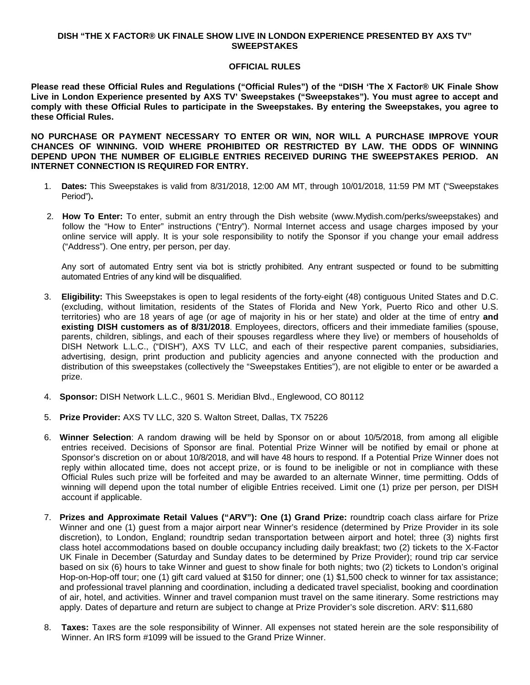## **DISH "THE X FACTOR® UK FINALE SHOW LIVE IN LONDON EXPERIENCE PRESENTED BY AXS TV" SWEEPSTAKES**

## **OFFICIAL RULES**

**Please read these Official Rules and Regulations ("Official Rules") of the "DISH 'The X Factor® UK Finale Show Live in London Experience presented by AXS TV' Sweepstakes ("Sweepstakes"). You must agree to accept and comply with these Official Rules to participate in the Sweepstakes. By entering the Sweepstakes, you agree to these Official Rules.**

**NO PURCHASE OR PAYMENT NECESSARY TO ENTER OR WIN, NOR WILL A PURCHASE IMPROVE YOUR CHANCES OF WINNING. VOID WHERE PROHIBITED OR RESTRICTED BY LAW. THE ODDS OF WINNING DEPEND UPON THE NUMBER OF ELIGIBLE ENTRIES RECEIVED DURING THE SWEEPSTAKES PERIOD. AN INTERNET CONNECTION IS REQUIRED FOR ENTRY.**

- 1. **Dates:** This Sweepstakes is valid from 8/31/2018, 12:00 AM MT, through 10/01/2018, 11:59 PM MT ("Sweepstakes Period")**.**
- 2. **How To Enter:** To enter, submit an entry through the Dish website (www.Mydish.com/perks/sweepstakes) and follow the "How to Enter" instructions ("Entry"). Normal Internet access and usage charges imposed by your online service will apply. It is your sole responsibility to notify the Sponsor if you change your email address ("Address"). One entry, per person, per day.

Any sort of automated Entry sent via bot is strictly prohibited. Any entrant suspected or found to be submitting automated Entries of any kind will be disqualified.

- 3. **Eligibility:** This Sweepstakes is open to legal residents of the forty-eight (48) contiguous United States and D.C. (excluding, without limitation, residents of the States of Florida and New York, Puerto Rico and other U.S. territories) who are 18 years of age (or age of majority in his or her state) and older at the time of entry **and existing DISH customers as of 8/31/2018**. Employees, directors, officers and their immediate families (spouse, parents, children, siblings, and each of their spouses regardless where they live) or members of households of DISH Network L.L.C., ("DISH"), AXS TV LLC, and each of their respective parent companies, subsidiaries, advertising, design, print production and publicity agencies and anyone connected with the production and distribution of this sweepstakes (collectively the "Sweepstakes Entities"), are not eligible to enter or be awarded a prize.
- 4. **Sponsor:** DISH Network L.L.C., 9601 S. Meridian Blvd., Englewood, CO 80112
- 5. **Prize Provider:** AXS TV LLC, 320 S. Walton Street, Dallas, TX 75226
- 6. **Winner Selection**: A random drawing will be held by Sponsor on or about 10/5/2018, from among all eligible entries received. Decisions of Sponsor are final. Potential Prize Winner will be notified by email or phone at Sponsor's discretion on or about 10/8/2018, and will have 48 hours to respond. If a Potential Prize Winner does not reply within allocated time, does not accept prize, or is found to be ineligible or not in compliance with these Official Rules such prize will be forfeited and may be awarded to an alternate Winner, time permitting. Odds of winning will depend upon the total number of eligible Entries received. Limit one (1) prize per person, per DISH account if applicable.
- 7. **Prizes and Approximate Retail Values ("ARV"): One (1) Grand Prize:** roundtrip coach class airfare for Prize Winner and one (1) guest from a major airport near Winner's residence (determined by Prize Provider in its sole discretion), to London, England; roundtrip sedan transportation between airport and hotel; three (3) nights first class hotel accommodations based on double occupancy including daily breakfast; two (2) tickets to the X-Factor UK Finale in December (Saturday and Sunday dates to be determined by Prize Provider); round trip car service based on six (6) hours to take Winner and guest to show finale for both nights; two (2) tickets to London's original Hop-on-Hop-off tour; one (1) gift card valued at \$150 for dinner; one (1) \$1,500 check to winner for tax assistance; and professional travel planning and coordination, including a dedicated travel specialist, booking and coordination of air, hotel, and activities. Winner and travel companion must travel on the same itinerary. Some restrictions may apply. Dates of departure and return are subject to change at Prize Provider's sole discretion. ARV: \$11,680
- 8. **Taxes:** Taxes are the sole responsibility of Winner. All expenses not stated herein are the sole responsibility of Winner. An IRS form #1099 will be issued to the Grand Prize Winner.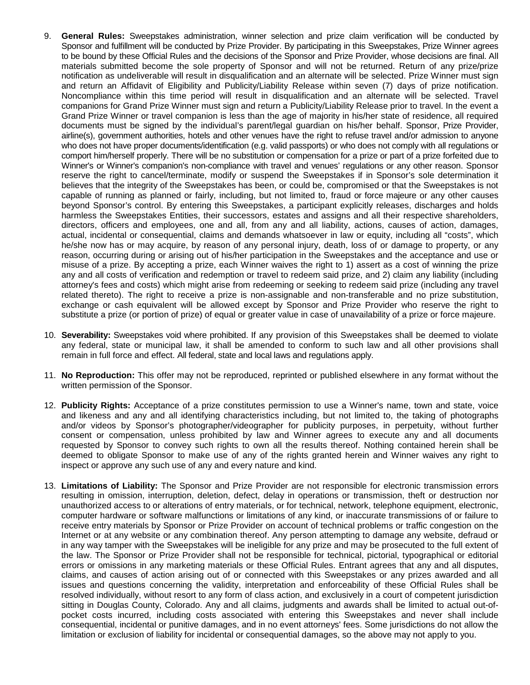- 9. **General Rules:** Sweepstakes administration, winner selection and prize claim verification will be conducted by Sponsor and fulfillment will be conducted by Prize Provider. By participating in this Sweepstakes, Prize Winner agrees to be bound by these Official Rules and the decisions of the Sponsor and Prize Provider, whose decisions are final. All materials submitted become the sole property of Sponsor and will not be returned. Return of any prize/prize notification as undeliverable will result in disqualification and an alternate will be selected. Prize Winner must sign and return an Affidavit of Eligibility and Publicity/Liability Release within seven (7) days of prize notification. Noncompliance within this time period will result in disqualification and an alternate will be selected. Travel companions for Grand Prize Winner must sign and return a Publicity/Liability Release prior to travel. In the event a Grand Prize Winner or travel companion is less than the age of majority in his/her state of residence, all required documents must be signed by the individual's parent/legal guardian on his/her behalf. Sponsor, Prize Provider, airline(s), government authorities, hotels and other venues have the right to refuse travel and/or admission to anyone who does not have proper documents/identification (e.g. valid passports) or who does not comply with all regulations or comport him/herself properly. There will be no substitution or compensation for a prize or part of a prize forfeited due to Winner's or Winner's companion's non-compliance with travel and venues' regulations or any other reason. Sponsor reserve the right to cancel/terminate, modify or suspend the Sweepstakes if in Sponsor's sole determination it believes that the integrity of the Sweepstakes has been, or could be, compromised or that the Sweepstakes is not capable of running as planned or fairly, including, but not limited to, fraud or force majeure or any other causes beyond Sponsor's control. By entering this Sweepstakes, a participant explicitly releases, discharges and holds harmless the Sweepstakes Entities, their successors, estates and assigns and all their respective shareholders, directors, officers and employees, one and all, from any and all liability, actions, causes of action, damages, actual, incidental or consequential, claims and demands whatsoever in law or equity, including all "costs", which he/she now has or may acquire, by reason of any personal injury, death, loss of or damage to property, or any reason, occurring during or arising out of his/her participation in the Sweepstakes and the acceptance and use or misuse of a prize. By accepting a prize, each Winner waives the right to 1) assert as a cost of winning the prize any and all costs of verification and redemption or travel to redeem said prize, and 2) claim any liability (including attorney's fees and costs) which might arise from redeeming or seeking to redeem said prize (including any travel related thereto). The right to receive a prize is non-assignable and non-transferable and no prize substitution, exchange or cash equivalent will be allowed except by Sponsor and Prize Provider who reserve the right to substitute a prize (or portion of prize) of equal or greater value in case of unavailability of a prize or force majeure.
- 10. **Severability:** Sweepstakes void where prohibited. If any provision of this Sweepstakes shall be deemed to violate any federal, state or municipal law, it shall be amended to conform to such law and all other provisions shall remain in full force and effect. All federal, state and local laws and regulations apply.
- 11. **No Reproduction:** This offer may not be reproduced, reprinted or published elsewhere in any format without the written permission of the Sponsor.
- 12. **Publicity Rights:** Acceptance of a prize constitutes permission to use a Winner's name, town and state, voice and likeness and any and all identifying characteristics including, but not limited to, the taking of photographs and/or videos by Sponsor's photographer/videographer for publicity purposes, in perpetuity, without further consent or compensation, unless prohibited by law and Winner agrees to execute any and all documents requested by Sponsor to convey such rights to own all the results thereof. Nothing contained herein shall be deemed to obligate Sponsor to make use of any of the rights granted herein and Winner waives any right to inspect or approve any such use of any and every nature and kind.
- 13. **Limitations of Liability:** The Sponsor and Prize Provider are not responsible for electronic transmission errors resulting in omission, interruption, deletion, defect, delay in operations or transmission, theft or destruction nor unauthorized access to or alterations of entry materials, or for technical, network, telephone equipment, electronic, computer hardware or software malfunctions or limitations of any kind, or inaccurate transmissions of or failure to receive entry materials by Sponsor or Prize Provider on account of technical problems or traffic congestion on the Internet or at any website or any combination thereof. Any person attempting to damage any website, defraud or in any way tamper with the Sweepstakes will be ineligible for any prize and may be prosecuted to the full extent of the law. The Sponsor or Prize Provider shall not be responsible for technical, pictorial, typographical or editorial errors or omissions in any marketing materials or these Official Rules. Entrant agrees that any and all disputes, claims, and causes of action arising out of or connected with this Sweepstakes or any prizes awarded and all issues and questions concerning the validity, interpretation and enforceability of these Official Rules shall be resolved individually, without resort to any form of class action, and exclusively in a court of competent jurisdiction sitting in Douglas County, Colorado. Any and all claims, judgments and awards shall be limited to actual out-ofpocket costs incurred, including costs associated with entering this Sweepstakes and never shall include consequential, incidental or punitive damages, and in no event attorneys' fees. Some jurisdictions do not allow the limitation or exclusion of liability for incidental or consequential damages, so the above may not apply to you.